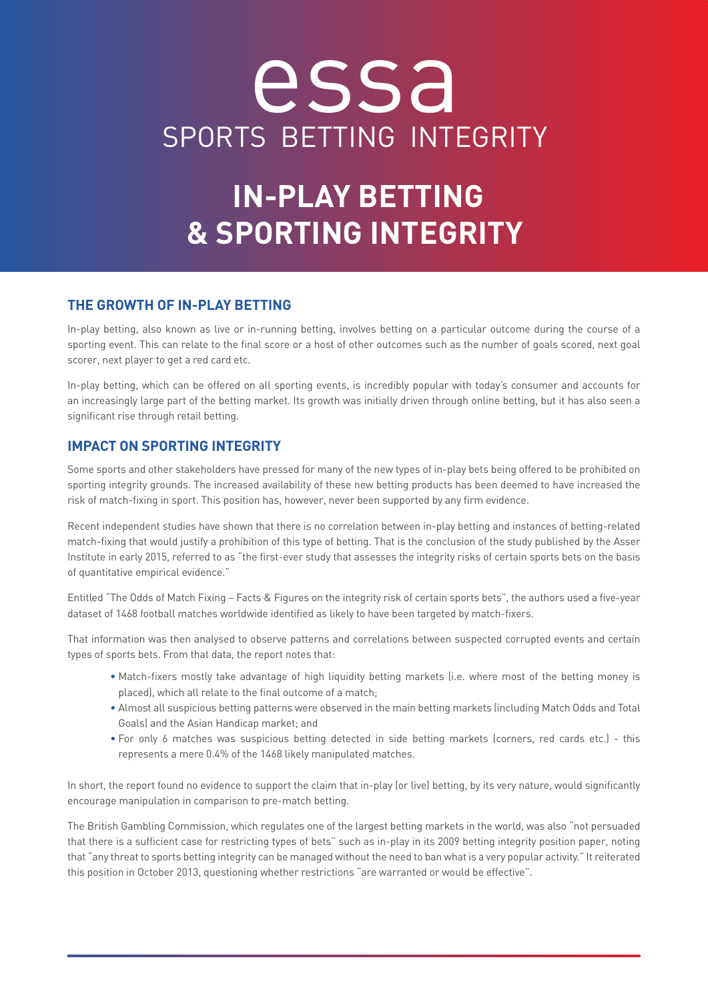# essa SPORTS BETTING INTEGRITY

## **IN-PLAY BETTING & SPORTING INTEGRITY**

#### **THE GROWTH OF IN-PLAY BETTING**

In-play betting, also known as live or in-running betting, involves betting on a particular outcome during the course of a sporting event. This can relate to the final score or a host of other outcomes such as the number of goals scored, next goal scorer, next player to get a red card etc.

In-play betting, which can be offered on all sporting events, is incredibly popular with today's consumer and accounts for an increasingly large part of the betting market. Its growth was initially driven through online betting, but it has also seen a significant rise through retail betting.

#### **IMPACT ON SPORTING INTEGRITY**

Some sports and other stakeholders have pressed for many of the new types of in-play bets being offered to be prohibited on sporting integrity grounds. The increased availability of these new betting products has been deemed to have increased the risk of match-fixing in sport. This position has, however, never been supported by any firm evidence.

Recent independent studies have shown that there is no correlation between in-play betting and instances of betting-related match-fixing that would justify a prohibition of this type of betting. That is the conclusion of the study published by the Asser Institute in early 2015, referred to as "the first-ever study that assesses the integrity risks of certain sports bets on the basis of quantitative empirical evidence."

Entitled "The Odds of Match Fixing – Facts & Figures on the integrity risk of certain sports bets", the authors used a five-year dataset of 1468 football matches worldwide identified as likely to have been targeted by match-fixers.

That information was then analysed to observe patterns and correlations between suspected corrupted events and certain types of sports bets. From that data, the report notes that:

- Match-fixers mostly take advantage of high liquidity betting markets (i.e. where most of the betting money is placed), which all relate to the final outcome of a match;
- Almost all suspicious betting patterns were observed in the main betting markets (including Match Odds and Total Goals) and the Asian Handicap market; and
- For only 6 matches was suspicious betting detected in side betting markets (corners, red cards etc.) this represents a mere 0.4% of the 1468 likely manipulated matches.

In short, the report found no evidence to support the claim that in-play (or live) betting, by its very nature, would significantly encourage manipulation in comparison to pre-match betting.

The British Gambling Commission, which regulates one of the largest betting markets in the world, was also "not persuaded that there is a sufficient case for restricting types of bets" such as in-play in its 2009 betting integrity position paper, noting that "any threat to sports betting integrity can be managed without the need to ban what is a very popular activity." It reiterated this position in October 2013, questioning whether restrictions "are warranted or would be effective".